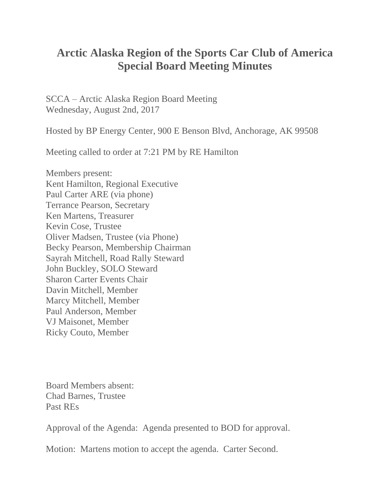## **Arctic Alaska Region of the Sports Car Club of America Special Board Meeting Minutes**

SCCA – Arctic Alaska Region Board Meeting Wednesday, August 2nd, 2017

Hosted by BP Energy Center, 900 E Benson Blvd, Anchorage, AK 99508

Meeting called to order at 7:21 PM by RE Hamilton

Members present: Kent Hamilton, Regional Executive Paul Carter ARE (via phone) Terrance Pearson, Secretary Ken Martens, Treasurer Kevin Cose, Trustee Oliver Madsen, Trustee (via Phone) Becky Pearson, Membership Chairman Sayrah Mitchell, Road Rally Steward John Buckley, SOLO Steward Sharon Carter Events Chair Davin Mitchell, Member Marcy Mitchell, Member Paul Anderson, Member VJ Maisonet, Member Ricky Couto, Member

Board Members absent: Chad Barnes, Trustee Past REs

Approval of the Agenda: Agenda presented to BOD for approval.

Motion: Martens motion to accept the agenda. Carter Second.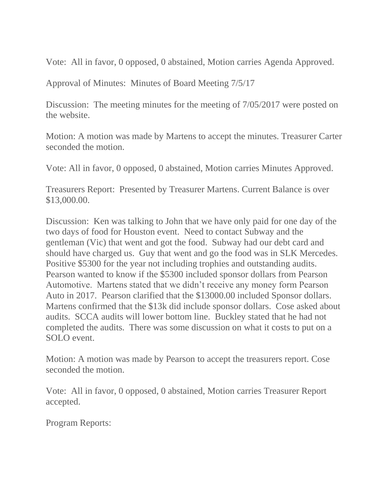Vote: All in favor, 0 opposed, 0 abstained, Motion carries Agenda Approved.

Approval of Minutes: Minutes of Board Meeting 7/5/17

Discussion: The meeting minutes for the meeting of  $7/05/2017$  were posted on the website.

Motion: A motion was made by Martens to accept the minutes. Treasurer Carter seconded the motion.

Vote: All in favor, 0 opposed, 0 abstained, Motion carries Minutes Approved.

Treasurers Report: Presented by Treasurer Martens. Current Balance is over \$13,000.00.

Discussion: Ken was talking to John that we have only paid for one day of the two days of food for Houston event. Need to contact Subway and the gentleman (Vic) that went and got the food. Subway had our debt card and should have charged us. Guy that went and go the food was in SLK Mercedes. Positive \$5300 for the year not including trophies and outstanding audits. Pearson wanted to know if the \$5300 included sponsor dollars from Pearson Automotive. Martens stated that we didn't receive any money form Pearson Auto in 2017. Pearson clarified that the \$13000.00 included Sponsor dollars. Martens confirmed that the \$13k did include sponsor dollars. Cose asked about audits. SCCA audits will lower bottom line. Buckley stated that he had not completed the audits. There was some discussion on what it costs to put on a SOLO event.

Motion: A motion was made by Pearson to accept the treasurers report. Cose seconded the motion.

Vote: All in favor, 0 opposed, 0 abstained, Motion carries Treasurer Report accepted.

Program Reports: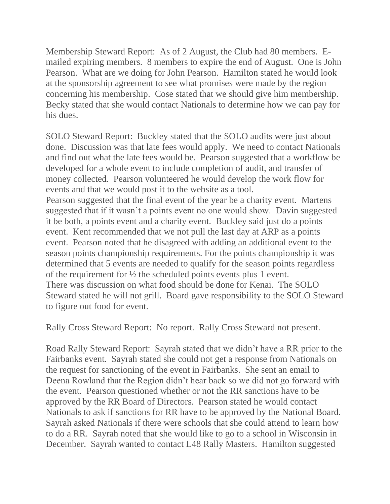Membership Steward Report: As of 2 August, the Club had 80 members. Emailed expiring members. 8 members to expire the end of August. One is John Pearson. What are we doing for John Pearson. Hamilton stated he would look at the sponsorship agreement to see what promises were made by the region concerning his membership. Cose stated that we should give him membership. Becky stated that she would contact Nationals to determine how we can pay for his dues.

SOLO Steward Report: Buckley stated that the SOLO audits were just about done. Discussion was that late fees would apply. We need to contact Nationals and find out what the late fees would be. Pearson suggested that a workflow be developed for a whole event to include completion of audit, and transfer of money collected. Pearson volunteered he would develop the work flow for events and that we would post it to the website as a tool.

Pearson suggested that the final event of the year be a charity event. Martens suggested that if it wasn't a points event no one would show. Davin suggested it be both, a points event and a charity event. Buckley said just do a points event. Kent recommended that we not pull the last day at ARP as a points event. Pearson noted that he disagreed with adding an additional event to the season points championship requirements. For the points championship it was determined that 5 events are needed to qualify for the season points regardless of the requirement for  $\frac{1}{2}$  the scheduled points events plus 1 event. There was discussion on what food should be done for Kenai. The SOLO Steward stated he will not grill. Board gave responsibility to the SOLO Steward to figure out food for event.

Rally Cross Steward Report: No report. Rally Cross Steward not present.

Road Rally Steward Report: Sayrah stated that we didn't have a RR prior to the Fairbanks event. Sayrah stated she could not get a response from Nationals on the request for sanctioning of the event in Fairbanks. She sent an email to Deena Rowland that the Region didn't hear back so we did not go forward with the event. Pearson questioned whether or not the RR sanctions have to be approved by the RR Board of Directors. Pearson stated he would contact Nationals to ask if sanctions for RR have to be approved by the National Board. Sayrah asked Nationals if there were schools that she could attend to learn how to do a RR. Sayrah noted that she would like to go to a school in Wisconsin in December. Sayrah wanted to contact L48 Rally Masters. Hamilton suggested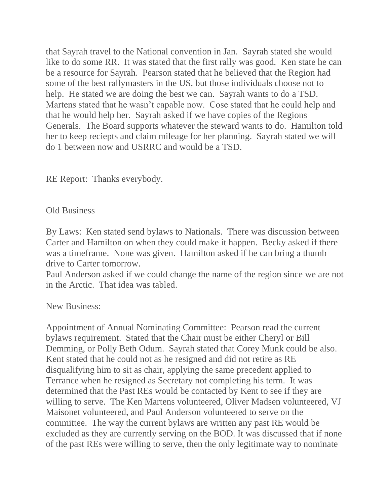that Sayrah travel to the National convention in Jan. Sayrah stated she would like to do some RR. It was stated that the first rally was good. Ken state he can be a resource for Sayrah. Pearson stated that he believed that the Region had some of the best rallymasters in the US, but those individuals choose not to help. He stated we are doing the best we can. Sayrah wants to do a TSD. Martens stated that he wasn't capable now. Cose stated that he could help and that he would help her. Sayrah asked if we have copies of the Regions Generals. The Board supports whatever the steward wants to do. Hamilton told her to keep reciepts and claim mileage for her planning. Sayrah stated we will do 1 between now and USRRC and would be a TSD.

RE Report: Thanks everybody.

## Old Business

By Laws: Ken stated send bylaws to Nationals. There was discussion between Carter and Hamilton on when they could make it happen. Becky asked if there was a timeframe. None was given. Hamilton asked if he can bring a thumb drive to Carter tomorrow.

Paul Anderson asked if we could change the name of the region since we are not in the Arctic. That idea was tabled.

## New Business:

Appointment of Annual Nominating Committee: Pearson read the current bylaws requirement. Stated that the Chair must be either Cheryl or Bill Demming, or Polly Beth Odum. Sayrah stated that Corey Munk could be also. Kent stated that he could not as he resigned and did not retire as RE disqualifying him to sit as chair, applying the same precedent applied to Terrance when he resigned as Secretary not completing his term. It was determined that the Past REs would be contacted by Kent to see if they are willing to serve. The Ken Martens volunteered, Oliver Madsen volunteered, VJ Maisonet volunteered, and Paul Anderson volunteered to serve on the committee. The way the current bylaws are written any past RE would be excluded as they are currently serving on the BOD. It was discussed that if none of the past REs were willing to serve, then the only legitimate way to nominate